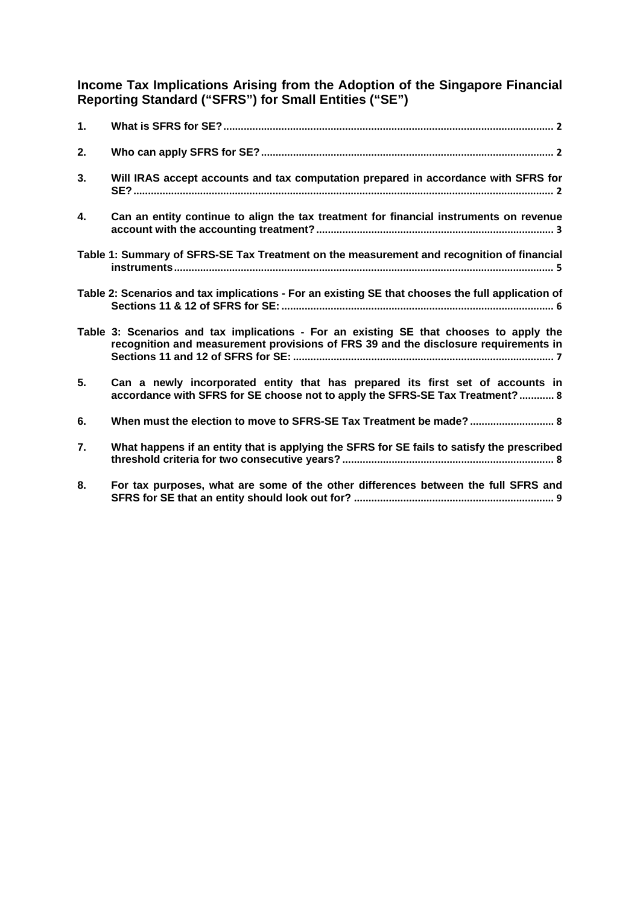**Income Tax Implications Arising from the Adoption of the Singapore Financial Reporting Standard ("SFRS") for Small Entities ("SE")**

| 1. |                                                                                                                                                                               |
|----|-------------------------------------------------------------------------------------------------------------------------------------------------------------------------------|
| 2. |                                                                                                                                                                               |
| 3. | Will IRAS accept accounts and tax computation prepared in accordance with SFRS for                                                                                            |
| 4. | Can an entity continue to align the tax treatment for financial instruments on revenue                                                                                        |
|    | Table 1: Summary of SFRS-SE Tax Treatment on the measurement and recognition of financial                                                                                     |
|    | Table 2: Scenarios and tax implications - For an existing SE that chooses the full application of                                                                             |
|    | Table 3: Scenarios and tax implications - For an existing SE that chooses to apply the<br>recognition and measurement provisions of FRS 39 and the disclosure requirements in |
| 5. | Can a newly incorporated entity that has prepared its first set of accounts in<br>accordance with SFRS for SE choose not to apply the SFRS-SE Tax Treatment? 8                |
| 6. | When must the election to move to SFRS-SE Tax Treatment be made?  8                                                                                                           |
| 7. | What happens if an entity that is applying the SFRS for SE fails to satisfy the prescribed                                                                                    |
| 8. | For tax purposes, what are some of the other differences between the full SFRS and                                                                                            |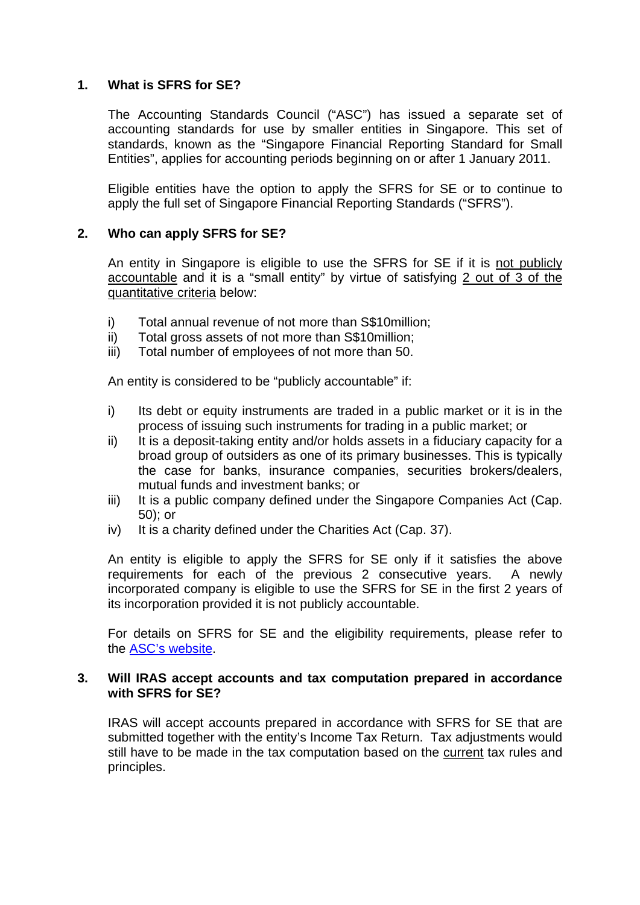# <span id="page-1-0"></span>**1. What is SFRS for SE?**

The Accounting Standards Council ("ASC") has issued a separate set of accounting standards for use by smaller entities in Singapore. This set of standards, known as the "Singapore Financial Reporting Standard for Small Entities", applies for accounting periods beginning on or after 1 January 2011.

Eligible entities have the option to apply the SFRS for SE or to continue to apply the full set of Singapore Financial Reporting Standards ("SFRS").

# <span id="page-1-1"></span>**2. Who can apply SFRS for SE?**

An entity in Singapore is eligible to use the SFRS for SE if it is not publicly accountable and it is a "small entity" by virtue of satisfying 2 out of 3 of the quantitative criteria below:

- i) Total annual revenue of not more than S\$10million;
- ii) Total gross assets of not more than S\$10million;
- iii) Total number of employees of not more than 50.

An entity is considered to be "publicly accountable" if:

- i) Its debt or equity instruments are traded in a public market or it is in the process of issuing such instruments for trading in a public market; or
- ii) It is a deposit-taking entity and/or holds assets in a fiduciary capacity for a broad group of outsiders as one of its primary businesses. This is typically the case for banks, insurance companies, securities brokers/dealers, mutual funds and investment banks; or
- iii) It is a public company defined under the Singapore Companies Act (Cap. 50); or
- iv) It is a charity defined under the Charities Act (Cap. 37).

An entity is eligible to apply the SFRS for SE only if it satisfies the above requirements for each of the previous 2 consecutive years. A newly incorporated company is eligible to use the SFRS for SE in the first 2 years of its incorporation provided it is not publicly accountable.

For details on SFRS for SE and the eligibility requirements, please refer to the [ASC's website.](http://www.asc.gov.sg/sfrs/index.htm)

### <span id="page-1-2"></span>**3. Will IRAS accept accounts and tax computation prepared in accordance with SFRS for SE?**

IRAS will accept accounts prepared in accordance with SFRS for SE that are submitted together with the entity's Income Tax Return. Tax adjustments would still have to be made in the tax computation based on the current tax rules and principles.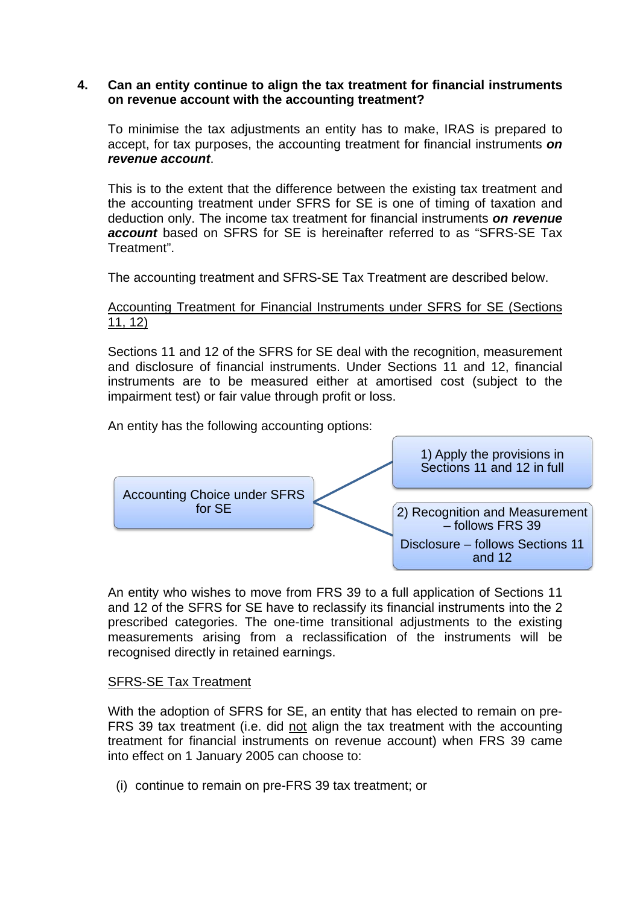### <span id="page-2-0"></span>**4. Can an entity continue to align the tax treatment for financial instruments on revenue account with the accounting treatment?**

To minimise the tax adjustments an entity has to make, IRAS is prepared to accept, for tax purposes, the accounting treatment for financial instruments *on revenue account*.

This is to the extent that the difference between the existing tax treatment and the accounting treatment under SFRS for SE is one of timing of taxation and deduction only. The income tax treatment for financial instruments *on revenue account* based on SFRS for SE is hereinafter referred to as "SFRS-SE Tax Treatment".

The accounting treatment and SFRS-SE Tax Treatment are described below.

### Accounting Treatment for Financial Instruments under SFRS for SE (Sections 11, 12)

Sections 11 and 12 of the SFRS for SE deal with the recognition, measurement and disclosure of financial instruments. Under Sections 11 and 12, financial instruments are to be measured either at amortised cost (subject to the impairment test) or fair value through profit or loss.

An entity has the following accounting options:



An entity who wishes to move from FRS 39 to a full application of Sections 11 and 12 of the SFRS for SE have to reclassify its financial instruments into the 2 prescribed categories. The one-time transitional adjustments to the existing measurements arising from a reclassification of the instruments will be recognised directly in retained earnings.

## SFRS-SE Tax Treatment

With the adoption of SFRS for SE, an entity that has elected to remain on pre-FRS 39 tax treatment (i.e. did not align the tax treatment with the accounting treatment for financial instruments on revenue account) when FRS 39 came into effect on 1 January 2005 can choose to:

(i) continue to remain on pre-FRS 39 tax treatment; or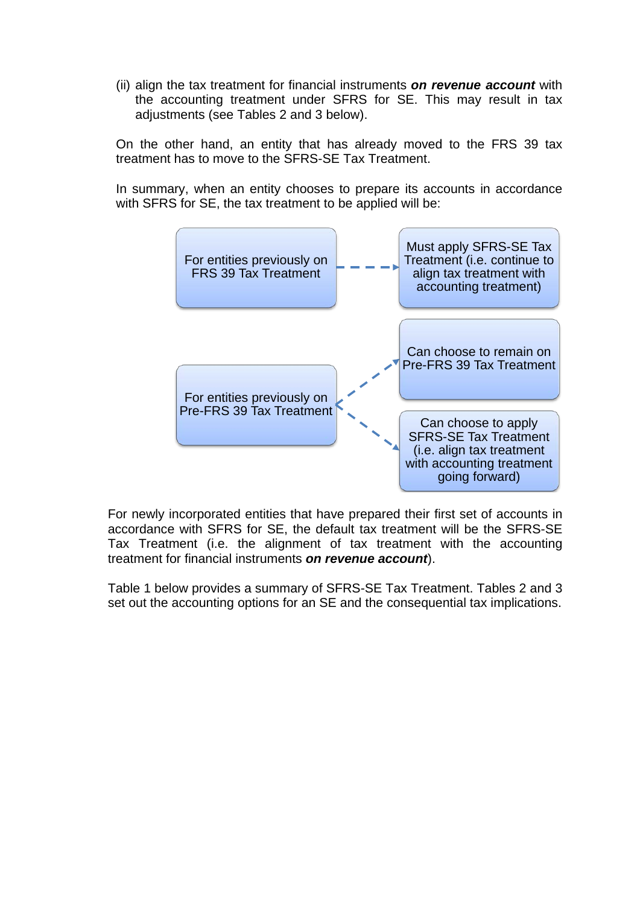(ii) align the tax treatment for financial instruments *on revenue account* with the accounting treatment under SFRS for SE. This may result in tax adjustments (see Tables 2 and 3 below).

On the other hand, an entity that has already moved to the FRS 39 tax treatment has to move to the SFRS-SE Tax Treatment.

In summary, when an entity chooses to prepare its accounts in accordance with SFRS for SE, the tax treatment to be applied will be:



For newly incorporated entities that have prepared their first set of accounts in accordance with SFRS for SE, the default tax treatment will be the SFRS-SE Tax Treatment (i.e. the alignment of tax treatment with the accounting treatment for financial instruments *on revenue account*).

Table 1 below provides a summary of SFRS-SE Tax Treatment. Tables 2 and 3 set out the accounting options for an SE and the consequential tax implications.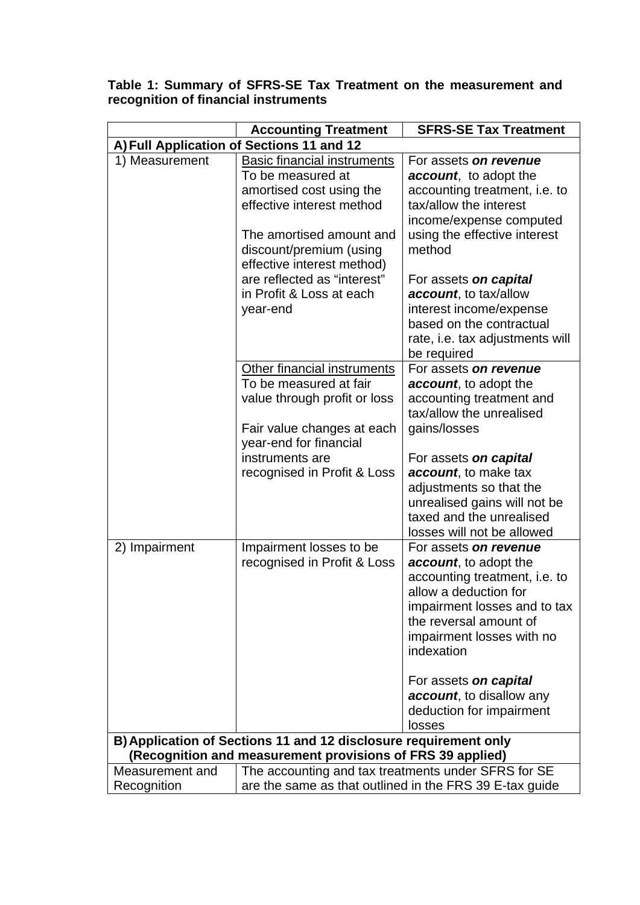<span id="page-4-0"></span>

| Table 1: Summary of SFRS-SE Tax Treatment on the measurement and |  |  |
|------------------------------------------------------------------|--|--|
| recognition of financial instruments                             |  |  |

|                                                                        | <b>Accounting Treatment</b>                                      | <b>SFRS-SE Tax Treatment</b>                             |  |  |
|------------------------------------------------------------------------|------------------------------------------------------------------|----------------------------------------------------------|--|--|
| A) Full Application of Sections 11 and 12                              |                                                                  |                                                          |  |  |
| 1) Measurement                                                         | <b>Basic financial instruments</b>                               | For assets on revenue                                    |  |  |
|                                                                        | To be measured at                                                | <b>account</b> , to adopt the                            |  |  |
|                                                                        | amortised cost using the                                         | accounting treatment, i.e. to                            |  |  |
|                                                                        | effective interest method                                        | tax/allow the interest                                   |  |  |
|                                                                        |                                                                  | income/expense computed                                  |  |  |
|                                                                        | The amortised amount and                                         | using the effective interest                             |  |  |
|                                                                        | discount/premium (using                                          | method                                                   |  |  |
|                                                                        | effective interest method)                                       |                                                          |  |  |
|                                                                        | are reflected as "interest"                                      | For assets on capital                                    |  |  |
|                                                                        | in Profit & Loss at each                                         | account, to tax/allow                                    |  |  |
|                                                                        | year-end                                                         | interest income/expense                                  |  |  |
|                                                                        |                                                                  | based on the contractual                                 |  |  |
|                                                                        |                                                                  | rate, i.e. tax adjustments will                          |  |  |
|                                                                        |                                                                  | be required                                              |  |  |
|                                                                        | Other financial instruments                                      | For assets on revenue                                    |  |  |
|                                                                        | To be measured at fair                                           | <b>account</b> , to adopt the                            |  |  |
|                                                                        | value through profit or loss                                     | accounting treatment and                                 |  |  |
|                                                                        |                                                                  | tax/allow the unrealised                                 |  |  |
|                                                                        | Fair value changes at each                                       | gains/losses                                             |  |  |
|                                                                        | year-end for financial                                           |                                                          |  |  |
|                                                                        | instruments are                                                  | For assets on capital                                    |  |  |
|                                                                        | recognised in Profit & Loss                                      | account, to make tax                                     |  |  |
|                                                                        |                                                                  | adjustments so that the                                  |  |  |
|                                                                        |                                                                  | unrealised gains will not be<br>taxed and the unrealised |  |  |
|                                                                        |                                                                  | losses will not be allowed                               |  |  |
| 2) Impairment                                                          |                                                                  | For assets on revenue                                    |  |  |
|                                                                        | Impairment losses to be<br>recognised in Profit & Loss           | account, to adopt the                                    |  |  |
|                                                                        |                                                                  | accounting treatment, i.e. to                            |  |  |
|                                                                        |                                                                  | allow a deduction for                                    |  |  |
|                                                                        |                                                                  | impairment losses and to tax                             |  |  |
|                                                                        |                                                                  | the reversal amount of                                   |  |  |
|                                                                        |                                                                  | impairment losses with no                                |  |  |
|                                                                        |                                                                  | indexation                                               |  |  |
|                                                                        |                                                                  |                                                          |  |  |
|                                                                        |                                                                  | For assets on capital                                    |  |  |
|                                                                        |                                                                  | account, to disallow any                                 |  |  |
|                                                                        |                                                                  | deduction for impairment                                 |  |  |
|                                                                        |                                                                  | losses                                                   |  |  |
|                                                                        | B) Application of Sections 11 and 12 disclosure requirement only |                                                          |  |  |
| (Recognition and measurement provisions of FRS 39 applied)             |                                                                  |                                                          |  |  |
| The accounting and tax treatments under SFRS for SE<br>Measurement and |                                                                  |                                                          |  |  |
| Recognition                                                            | are the same as that outlined in the FRS 39 E-tax guide          |                                                          |  |  |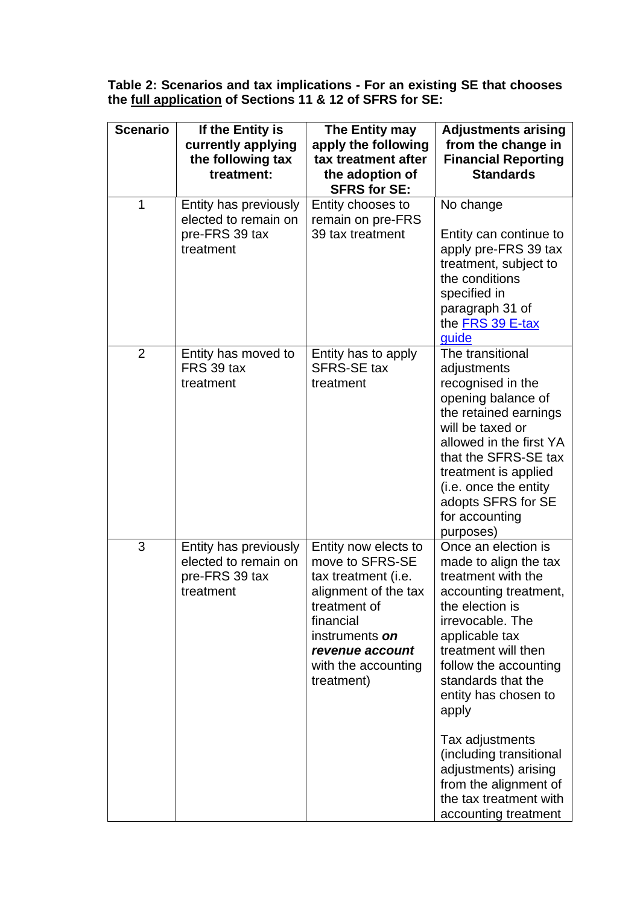<span id="page-5-0"></span>**Table 2: Scenarios and tax implications - For an existing SE that chooses the full application of Sections 11 & 12 of SFRS for SE:**

| <b>Scenario</b> | If the Entity is<br>currently applying<br>the following tax<br>treatment:    | The Entity may<br>apply the following<br>tax treatment after<br>the adoption of<br><b>SFRS for SE:</b>                                                                                        | <b>Adjustments arising</b><br>from the change in<br><b>Financial Reporting</b><br><b>Standards</b>                                                                                                                                                                                                                                                                                                           |
|-----------------|------------------------------------------------------------------------------|-----------------------------------------------------------------------------------------------------------------------------------------------------------------------------------------------|--------------------------------------------------------------------------------------------------------------------------------------------------------------------------------------------------------------------------------------------------------------------------------------------------------------------------------------------------------------------------------------------------------------|
| 1               | Entity has previously<br>elected to remain on<br>pre-FRS 39 tax<br>treatment | Entity chooses to<br>remain on pre-FRS<br>39 tax treatment                                                                                                                                    | No change<br>Entity can continue to<br>apply pre-FRS 39 tax<br>treatment, subject to<br>the conditions<br>specified in<br>paragraph 31 of<br>the FRS 39 E-tax<br>quide                                                                                                                                                                                                                                       |
| $\overline{2}$  | Entity has moved to<br>FRS 39 tax<br>treatment                               | Entity has to apply<br><b>SFRS-SE tax</b><br>treatment                                                                                                                                        | The transitional<br>adjustments<br>recognised in the<br>opening balance of<br>the retained earnings<br>will be taxed or<br>allowed in the first YA<br>that the SFRS-SE tax<br>treatment is applied<br>(i.e. once the entity<br>adopts SFRS for SE<br>for accounting<br>purposes)                                                                                                                             |
| 3               | Entity has previously<br>elected to remain on<br>pre-FRS 39 tax<br>treatment | Entity now elects to<br>move to SFRS-SE<br>tax treatment (i.e.<br>alignment of the tax<br>treatment of<br>financial<br>instruments on<br>revenue account<br>with the accounting<br>treatment) | Once an election is<br>made to align the tax<br>treatment with the<br>accounting treatment,<br>the election is<br>irrevocable. The<br>applicable tax<br>treatment will then<br>follow the accounting<br>standards that the<br>entity has chosen to<br>apply<br>Tax adjustments<br>(including transitional<br>adjustments) arising<br>from the alignment of<br>the tax treatment with<br>accounting treatment |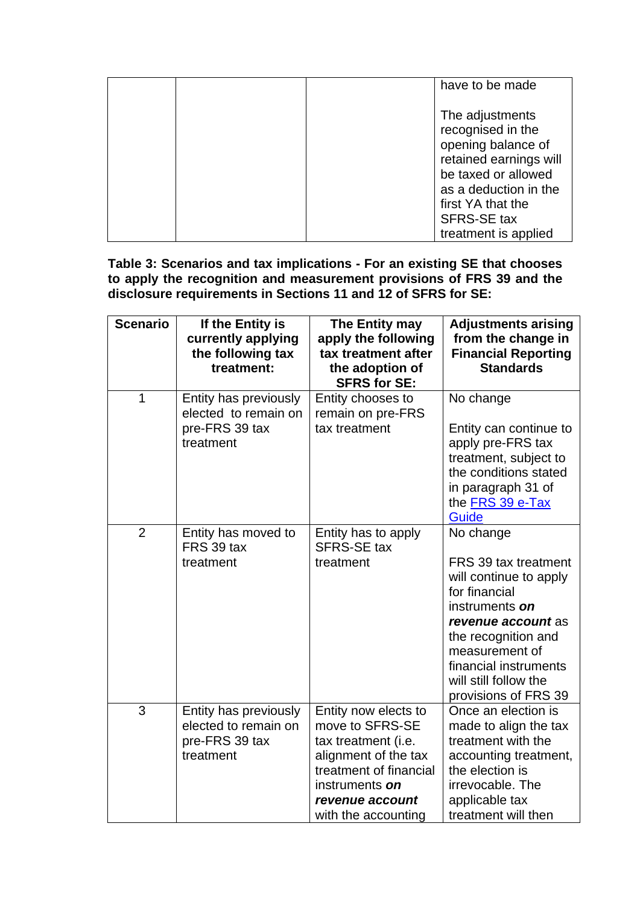|  | have to be made                                                                                                                                                                                         |
|--|---------------------------------------------------------------------------------------------------------------------------------------------------------------------------------------------------------|
|  | The adjustments<br>recognised in the<br>opening balance of<br>retained earnings will<br>be taxed or allowed<br>as a deduction in the<br>first YA that the<br><b>SFRS-SE tax</b><br>treatment is applied |

<span id="page-6-0"></span>**Table 3: Scenarios and tax implications - For an existing SE that chooses to apply the recognition and measurement provisions of FRS 39 and the disclosure requirements in Sections 11 and 12 of SFRS for SE:**

| <b>Scenario</b> | If the Entity is<br>currently applying<br>the following tax<br>treatment:    | The Entity may<br>apply the following<br>tax treatment after<br>the adoption of<br><b>SFRS for SE:</b>                                                                       | <b>Adjustments arising</b><br>from the change in<br><b>Financial Reporting</b><br><b>Standards</b>                                                                                                                                      |
|-----------------|------------------------------------------------------------------------------|------------------------------------------------------------------------------------------------------------------------------------------------------------------------------|-----------------------------------------------------------------------------------------------------------------------------------------------------------------------------------------------------------------------------------------|
| 1               | Entity has previously<br>elected to remain on<br>pre-FRS 39 tax<br>treatment | Entity chooses to<br>remain on pre-FRS<br>tax treatment                                                                                                                      | No change<br>Entity can continue to<br>apply pre-FRS tax<br>treatment, subject to<br>the conditions stated<br>in paragraph 31 of<br>the FRS 39 e-Tax<br><b>Guide</b>                                                                    |
| $\overline{2}$  | Entity has moved to<br>FRS 39 tax<br>treatment                               | Entity has to apply<br><b>SFRS-SE tax</b><br>treatment                                                                                                                       | No change<br>FRS 39 tax treatment<br>will continue to apply<br>for financial<br>instruments on<br>revenue account as<br>the recognition and<br>measurement of<br>financial instruments<br>will still follow the<br>provisions of FRS 39 |
| 3               | Entity has previously<br>elected to remain on<br>pre-FRS 39 tax<br>treatment | Entity now elects to<br>move to SFRS-SE<br>tax treatment (i.e.<br>alignment of the tax<br>treatment of financial<br>instruments on<br>revenue account<br>with the accounting | Once an election is<br>made to align the tax<br>treatment with the<br>accounting treatment,<br>the election is<br>irrevocable. The<br>applicable tax<br>treatment will then                                                             |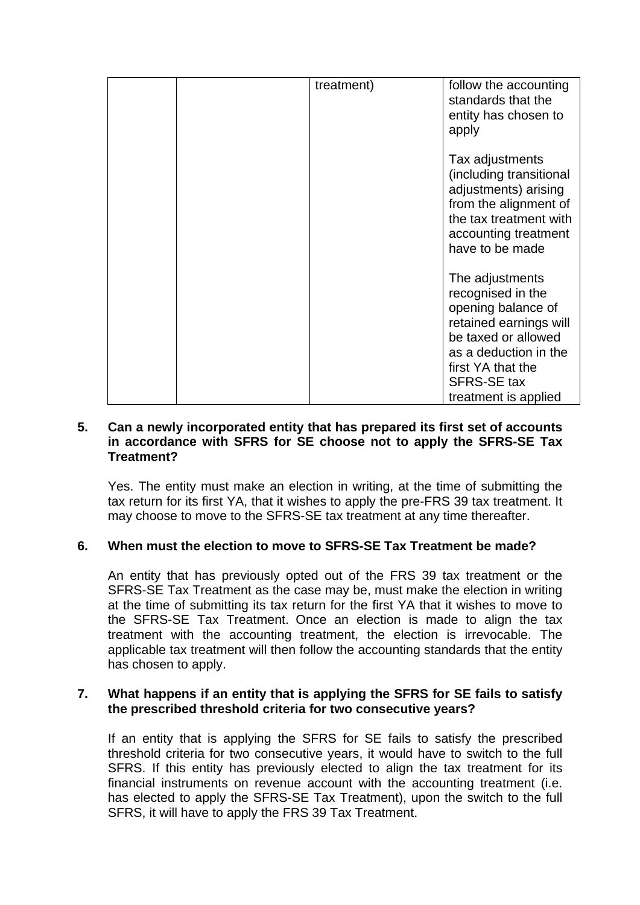|  | treatment) | follow the accounting<br>standards that the<br>entity has chosen to<br>apply                                                                                                                            |
|--|------------|---------------------------------------------------------------------------------------------------------------------------------------------------------------------------------------------------------|
|  |            | Tax adjustments<br>(including transitional<br>adjustments) arising<br>from the alignment of<br>the tax treatment with<br>accounting treatment<br>have to be made                                        |
|  |            | The adjustments<br>recognised in the<br>opening balance of<br>retained earnings will<br>be taxed or allowed<br>as a deduction in the<br>first YA that the<br><b>SFRS-SE tax</b><br>treatment is applied |

### <span id="page-7-0"></span>**5. Can a newly incorporated entity that has prepared its first set of accounts in accordance with SFRS for SE choose not to apply the SFRS-SE Tax Treatment?**

Yes. The entity must make an election in writing, at the time of submitting the tax return for its first YA, that it wishes to apply the pre-FRS 39 tax treatment. It may choose to move to the SFRS-SE tax treatment at any time thereafter.

## <span id="page-7-1"></span>**6. When must the election to move to SFRS-SE Tax Treatment be made?**

An entity that has previously opted out of the FRS 39 tax treatment or the SFRS-SE Tax Treatment as the case may be, must make the election in writing at the time of submitting its tax return for the first YA that it wishes to move to the SFRS-SE Tax Treatment. Once an election is made to align the tax treatment with the accounting treatment, the election is irrevocable. The applicable tax treatment will then follow the accounting standards that the entity has chosen to apply.

### <span id="page-7-2"></span>**7. What happens if an entity that is applying the SFRS for SE fails to satisfy the prescribed threshold criteria for two consecutive years?**

If an entity that is applying the SFRS for SE fails to satisfy the prescribed threshold criteria for two consecutive years, it would have to switch to the full SFRS. If this entity has previously elected to align the tax treatment for its financial instruments on revenue account with the accounting treatment (i.e. has elected to apply the SFRS-SE Tax Treatment), upon the switch to the full SFRS, it will have to apply the FRS 39 Tax Treatment.